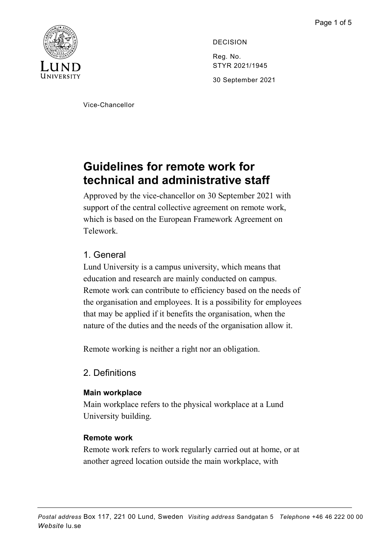

DECISION Reg. No. STYR 2021/1945 30 September 2021

Vice-Chancellor

# **Guidelines for remote work for technical and administrative staff**

Approved by the vice-chancellor on 30 September 2021 with support of the central collective agreement on remote work, which is based on the European Framework Agreement on Telework.

## 1. General

Lund University is a campus university, which means that education and research are mainly conducted on campus. Remote work can contribute to efficiency based on the needs of the organisation and employees. It is a possibility for employees that may be applied if it benefits the organisation, when the nature of the duties and the needs of the organisation allow it.

Remote working is neither a right nor an obligation.

## 2. Definitions

### **Main workplace**

Main workplace refers to the physical workplace at a Lund University building.

### **Remote work**

Remote work refers to work regularly carried out at home, or at another agreed location outside the main workplace, with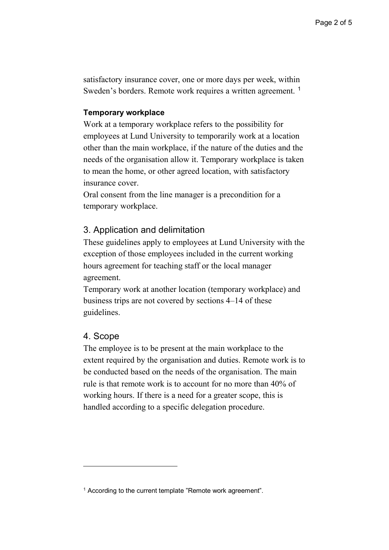satisfactory insurance cover, one or more days per week, within Sweden's borders. Remote work requires a written agreement.<sup>[1](#page-1-0)</sup>

#### **Temporary workplace**

Work at a temporary workplace refers to the possibility for employees at Lund University to temporarily work at a location other than the main workplace, if the nature of the duties and the needs of the organisation allow it. Temporary workplace is taken to mean the home, or other agreed location, with satisfactory insurance cover.

Oral consent from the line manager is a precondition for a temporary workplace.

#### 3. Application and delimitation

These guidelines apply to employees at Lund University with the exception of those employees included in the current working hours agreement for teaching staff or the local manager agreement.

Temporary work at another location (temporary workplace) and business trips are not covered by sections 4–14 of these guidelines.

#### 4. Scope

 $\overline{a}$ 

The employee is to be present at the main workplace to the extent required by the organisation and duties. Remote work is to be conducted based on the needs of the organisation. The main rule is that remote work is to account for no more than 40% of working hours. If there is a need for a greater scope, this is handled according to a specific delegation procedure.

<span id="page-1-0"></span><sup>&</sup>lt;sup>1</sup> According to the current template "Remote work agreement".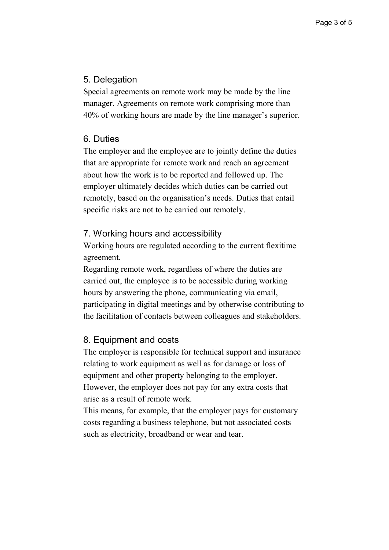## 5. Delegation

Special agreements on remote work may be made by the line manager. Agreements on remote work comprising more than 40% of working hours are made by the line manager's superior.

## 6. Duties

The employer and the employee are to jointly define the duties that are appropriate for remote work and reach an agreement about how the work is to be reported and followed up. The employer ultimately decides which duties can be carried out remotely, based on the organisation's needs. Duties that entail specific risks are not to be carried out remotely.

## 7. Working hours and accessibility

Working hours are regulated according to the current flexitime agreement.

Regarding remote work, regardless of where the duties are carried out, the employee is to be accessible during working hours by answering the phone, communicating via email, participating in digital meetings and by otherwise contributing to the facilitation of contacts between colleagues and stakeholders.

## 8. Equipment and costs

The employer is responsible for technical support and insurance relating to work equipment as well as for damage or loss of equipment and other property belonging to the employer. However, the employer does not pay for any extra costs that arise as a result of remote work.

This means, for example, that the employer pays for customary costs regarding a business telephone, but not associated costs such as electricity, broadband or wear and tear.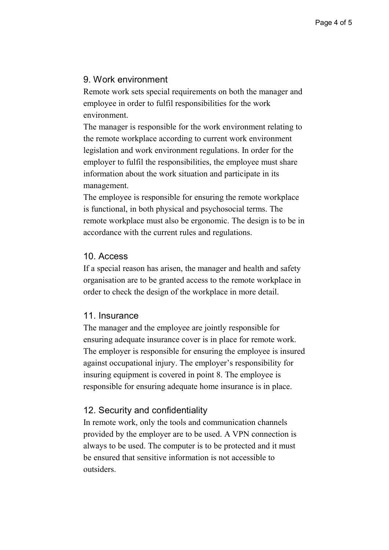#### 9. Work environment

Remote work sets special requirements on both the manager and employee in order to fulfil responsibilities for the work environment.

The manager is responsible for the work environment relating to the remote workplace according to current work environment legislation and work environment regulations. In order for the employer to fulfil the responsibilities, the employee must share information about the work situation and participate in its management.

The employee is responsible for ensuring the remote workplace is functional, in both physical and psychosocial terms. The remote workplace must also be ergonomic. The design is to be in accordance with the current rules and regulations.

#### 10. Access

If a special reason has arisen, the manager and health and safety organisation are to be granted access to the remote workplace in order to check the design of the workplace in more detail.

#### 11. Insurance

The manager and the employee are jointly responsible for ensuring adequate insurance cover is in place for remote work. The employer is responsible for ensuring the employee is insured against occupational injury. The employer's responsibility for insuring equipment is covered in point 8. The employee is responsible for ensuring adequate home insurance is in place.

#### 12. Security and confidentiality

In remote work, only the tools and communication channels provided by the employer are to be used. A VPN connection is always to be used. The computer is to be protected and it must be ensured that sensitive information is not accessible to outsiders.